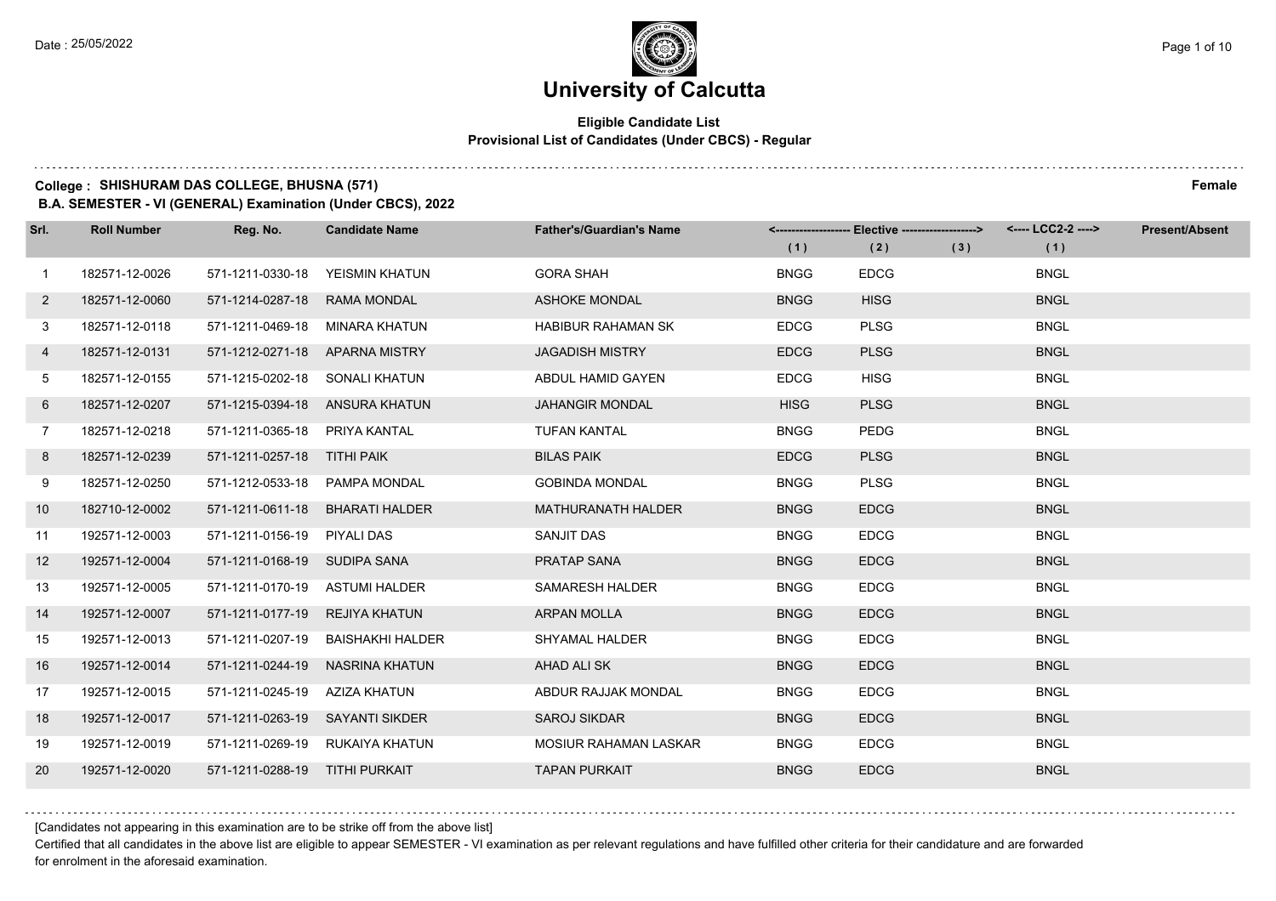$1.111$ 

# **University of Calcutta**

#### **Eligible Candidate List Provisional List of Candidates (Under CBCS) - Regular**

### **College : SHISHURAM DAS COLLEGE, BHUSNA (571) Female**

**B.A. SEMESTER - VI (GENERAL) Examination (Under CBCS), 2022**

| Srl.         | <b>Roll Number</b> | Reg. No.                        | <b>Candidate Name</b>           | <b>Father's/Guardian's Name</b> | (1)         | <-------------------- Elective -------------------><br>(2) | (3) | <---- LCC2-2 ----><br>(1) | <b>Present/Absent</b> |
|--------------|--------------------|---------------------------------|---------------------------------|---------------------------------|-------------|------------------------------------------------------------|-----|---------------------------|-----------------------|
| 1            | 182571-12-0026     | 571-1211-0330-18                | YEISMIN KHATUN                  | <b>GORA SHAH</b>                | <b>BNGG</b> | <b>EDCG</b>                                                |     | <b>BNGL</b>               |                       |
| $\mathbf{2}$ | 182571-12-0060     | 571-1214-0287-18                | <b>RAMA MONDAL</b>              | <b>ASHOKE MONDAL</b>            | <b>BNGG</b> | <b>HISG</b>                                                |     | <b>BNGL</b>               |                       |
| 3            | 182571-12-0118     | 571-1211-0469-18                | MINARA KHATUN                   | <b>HABIBUR RAHAMAN SK</b>       | <b>EDCG</b> | <b>PLSG</b>                                                |     | <b>BNGL</b>               |                       |
| 4            | 182571-12-0131     | 571-1212-0271-18 APARNA MISTRY  |                                 | <b>JAGADISH MISTRY</b>          | <b>EDCG</b> | <b>PLSG</b>                                                |     | <b>BNGL</b>               |                       |
| 5            | 182571-12-0155     | 571-1215-0202-18 SONALI KHATUN  |                                 | ABDUL HAMID GAYEN               | <b>EDCG</b> | <b>HISG</b>                                                |     | <b>BNGL</b>               |                       |
| 6            | 182571-12-0207     |                                 | 571-1215-0394-18 ANSURA KHATUN  | <b>JAHANGIR MONDAL</b>          | <b>HISG</b> | <b>PLSG</b>                                                |     | <b>BNGL</b>               |                       |
| $7^{\circ}$  | 182571-12-0218     | 571-1211-0365-18 PRIYA KANTAL   |                                 | <b>TUFAN KANTAL</b>             | <b>BNGG</b> | PEDG                                                       |     | <b>BNGL</b>               |                       |
| 8            | 182571-12-0239     | 571-1211-0257-18 TITHI PAIK     |                                 | <b>BILAS PAIK</b>               | <b>EDCG</b> | <b>PLSG</b>                                                |     | <b>BNGL</b>               |                       |
| 9            | 182571-12-0250     | 571-1212-0533-18                | PAMPA MONDAL                    | <b>GOBINDA MONDAL</b>           | <b>BNGG</b> | <b>PLSG</b>                                                |     | <b>BNGL</b>               |                       |
| 10           | 182710-12-0002     | 571-1211-0611-18                | <b>BHARATI HALDER</b>           | <b>MATHURANATH HALDER</b>       | <b>BNGG</b> | <b>EDCG</b>                                                |     | <b>BNGL</b>               |                       |
| 11           | 192571-12-0003     | 571-1211-0156-19 PIYALI DAS     |                                 | SANJIT DAS                      | <b>BNGG</b> | <b>EDCG</b>                                                |     | <b>BNGL</b>               |                       |
| 12           | 192571-12-0004     | 571-1211-0168-19 SUDIPA SANA    |                                 | PRATAP SANA                     | <b>BNGG</b> | <b>EDCG</b>                                                |     | <b>BNGL</b>               |                       |
| 13           | 192571-12-0005     | 571-1211-0170-19                | <b>ASTUMI HALDER</b>            | SAMARESH HALDER                 | <b>BNGG</b> | <b>EDCG</b>                                                |     | <b>BNGL</b>               |                       |
| 14           | 192571-12-0007     | 571-1211-0177-19                | REJIYA KHATUN                   | <b>ARPAN MOLLA</b>              | <b>BNGG</b> | <b>EDCG</b>                                                |     | <b>BNGL</b>               |                       |
| 15           | 192571-12-0013     | 571-1211-0207-19                | BAISHAKHI HALDER                | <b>SHYAMAL HALDER</b>           | <b>BNGG</b> | <b>EDCG</b>                                                |     | <b>BNGL</b>               |                       |
| 16           | 192571-12-0014     | 571-1211-0244-19                | <b>NASRINA KHATUN</b>           | AHAD ALI SK                     | <b>BNGG</b> | <b>EDCG</b>                                                |     | <b>BNGL</b>               |                       |
| 17           | 192571-12-0015     | 571-1211-0245-19                | AZIZA KHATUN                    | ABDUR RAJJAK MONDAL             | <b>BNGG</b> | <b>EDCG</b>                                                |     | <b>BNGL</b>               |                       |
| 18           | 192571-12-0017     | 571-1211-0263-19 SAYANTI SIKDER |                                 | <b>SAROJ SIKDAR</b>             | <b>BNGG</b> | <b>EDCG</b>                                                |     | <b>BNGL</b>               |                       |
| 19           | 192571-12-0019     |                                 | 571-1211-0269-19 RUKAIYA KHATUN | MOSIUR RAHAMAN LASKAR           | <b>BNGG</b> | <b>EDCG</b>                                                |     | <b>BNGL</b>               |                       |
| <b>20</b>    | 192571-12-0020     | 571-1211-0288-19 TITHI PURKAIT  |                                 | <b>TAPAN PURKAIT</b>            | <b>BNGG</b> | <b>EDCG</b>                                                |     | <b>BNGL</b>               |                       |

[Candidates not appearing in this examination are to be strike off from the above list]

Certified that all candidates in the above list are eligible to appear SEMESTER - VI examination as per relevant regulations and have fulfilled other criteria for their candidature and are forwarded for enrolment in the aforesaid examination.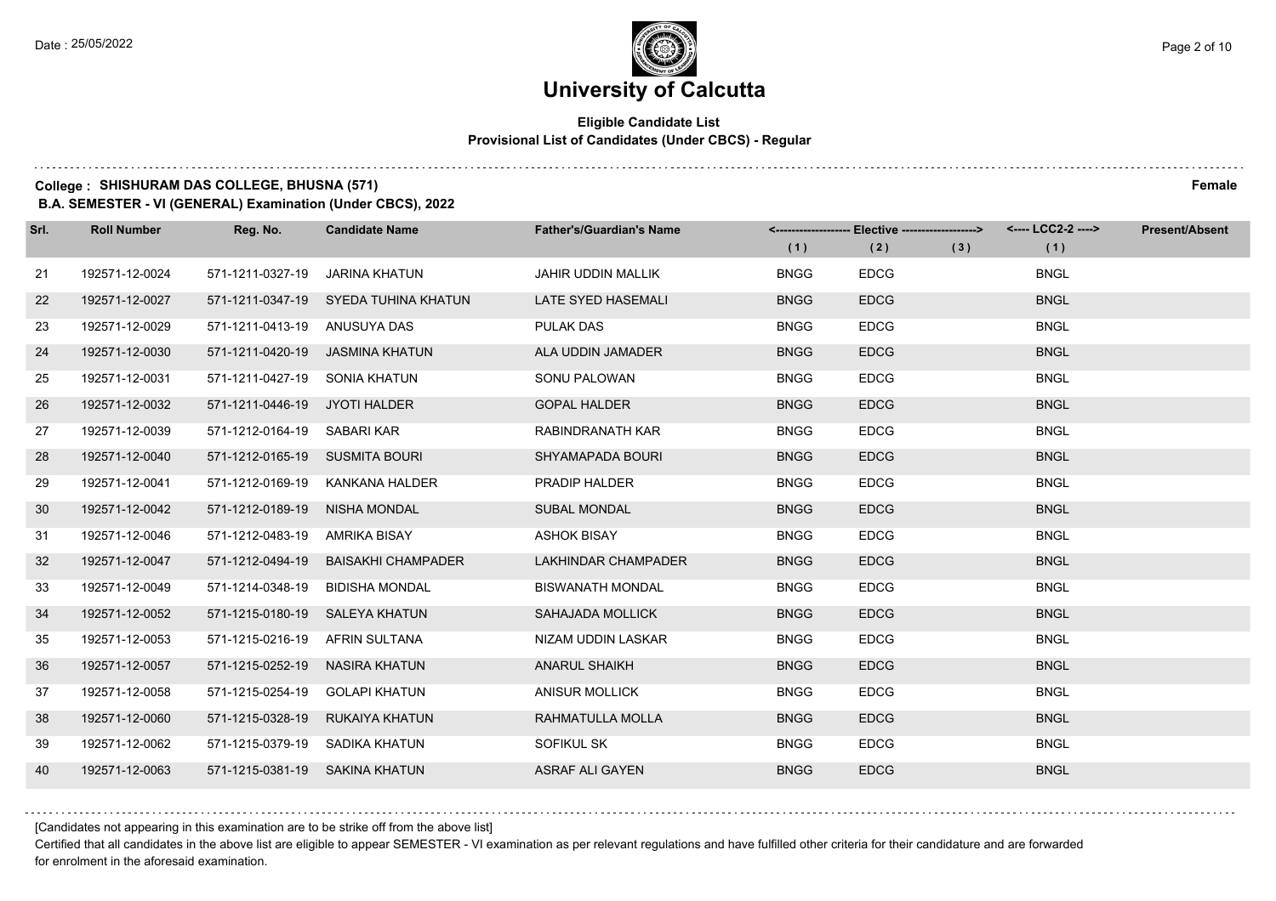#### **Eligible Candidate List Provisional List of Candidates (Under CBCS) - Regular**

**College : SHISHURAM DAS COLLEGE, BHUSNA (571) Female**

**B.A. SEMESTER - VI (GENERAL) Examination (Under CBCS), 2022**

| Srl. | <b>Roll Number</b> | Reg. No.                       | <b>Candidate Name</b>                | <b>Father's/Guardian's Name</b> | (1)         | <------------------- Elective ------------------><br>(2) | (3) | <---- LCC2-2 ----><br>(1) | <b>Present/Absent</b> |
|------|--------------------|--------------------------------|--------------------------------------|---------------------------------|-------------|----------------------------------------------------------|-----|---------------------------|-----------------------|
| 21   | 192571-12-0024     | 571-1211-0327-19               | JARINA KHATUN                        | <b>JAHIR UDDIN MALLIK</b>       | <b>BNGG</b> | <b>EDCG</b>                                              |     | <b>BNGL</b>               |                       |
| 22   | 192571-12-0027     |                                | 571-1211-0347-19 SYEDA TUHINA KHATUN | LATE SYED HASEMALI              | <b>BNGG</b> | <b>EDCG</b>                                              |     | <b>BNGL</b>               |                       |
| 23   | 192571-12-0029     | 571-1211-0413-19 ANUSUYA DAS   |                                      | <b>PULAK DAS</b>                | <b>BNGG</b> | <b>EDCG</b>                                              |     | <b>BNGL</b>               |                       |
| 24   | 192571-12-0030     |                                | 571-1211-0420-19 JASMINA KHATUN      | ALA UDDIN JAMADER               | <b>BNGG</b> | <b>EDCG</b>                                              |     | <b>BNGL</b>               |                       |
| 25   | 192571-12-0031     | 571-1211-0427-19 SONIA KHATUN  |                                      | SONU PALOWAN                    | <b>BNGG</b> | <b>EDCG</b>                                              |     | <b>BNGL</b>               |                       |
| 26   | 192571-12-0032     | 571-1211-0446-19 JYOTI HALDER  |                                      | <b>GOPAL HALDER</b>             | <b>BNGG</b> | <b>EDCG</b>                                              |     | <b>BNGL</b>               |                       |
| 27   | 192571-12-0039     | 571-1212-0164-19 SABARI KAR    |                                      | RABINDRANATH KAR                | <b>BNGG</b> | <b>EDCG</b>                                              |     | <b>BNGL</b>               |                       |
| 28   | 192571-12-0040     | 571-1212-0165-19 SUSMITA BOURI |                                      | SHYAMAPADA BOURI                | <b>BNGG</b> | <b>EDCG</b>                                              |     | <b>BNGL</b>               |                       |
| 29   | 192571-12-0041     |                                | 571-1212-0169-19 KANKANA HALDER      | PRADIP HALDER                   | <b>BNGG</b> | <b>EDCG</b>                                              |     | <b>BNGL</b>               |                       |
| 30   | 192571-12-0042     | 571-1212-0189-19 NISHA MONDAL  |                                      | <b>SUBAL MONDAL</b>             | <b>BNGG</b> | <b>EDCG</b>                                              |     | <b>BNGL</b>               |                       |
| 31   | 192571-12-0046     | 571-1212-0483-19 AMRIKA BISAY  |                                      | <b>ASHOK BISAY</b>              | <b>BNGG</b> | <b>EDCG</b>                                              |     | <b>BNGL</b>               |                       |
| 32   | 192571-12-0047     | 571-1212-0494-19               | <b>BAISAKHI CHAMPADER</b>            | LAKHINDAR CHAMPADER             | <b>BNGG</b> | <b>EDCG</b>                                              |     | <b>BNGL</b>               |                       |
| 33   | 192571-12-0049     | 571-1214-0348-19               | <b>BIDISHA MONDAL</b>                | <b>BISWANATH MONDAL</b>         | <b>BNGG</b> | <b>EDCG</b>                                              |     | <b>BNGL</b>               |                       |
| 34   | 192571-12-0052     | 571-1215-0180-19 SALEYA KHATUN |                                      | <b>SAHAJADA MOLLICK</b>         | <b>BNGG</b> | <b>EDCG</b>                                              |     | <b>BNGL</b>               |                       |
| 35   | 192571-12-0053     | 571-1215-0216-19 AFRIN SULTANA |                                      | NIZAM UDDIN LASKAR              | <b>BNGG</b> | <b>EDCG</b>                                              |     | <b>BNGL</b>               |                       |
| 36   | 192571-12-0057     | 571-1215-0252-19               | NASIRA KHATUN                        | <b>ANARUL SHAIKH</b>            | <b>BNGG</b> | <b>EDCG</b>                                              |     | <b>BNGL</b>               |                       |
| 37   | 192571-12-0058     | 571-1215-0254-19               | <b>GOLAPI KHATUN</b>                 | <b>ANISUR MOLLICK</b>           | <b>BNGG</b> | <b>EDCG</b>                                              |     | <b>BNGL</b>               |                       |
| 38   | 192571-12-0060     | 571-1215-0328-19               | RUKAIYA KHATUN                       | RAHMATULLA MOLLA                | <b>BNGG</b> | <b>EDCG</b>                                              |     | <b>BNGL</b>               |                       |
| 39   | 192571-12-0062     | 571-1215-0379-19 SADIKA KHATUN |                                      | SOFIKUL SK                      | <b>BNGG</b> | <b>EDCG</b>                                              |     | <b>BNGL</b>               |                       |
| 40   | 192571-12-0063     | 571-1215-0381-19 SAKINA KHATUN |                                      | <b>ASRAF ALI GAYEN</b>          | <b>BNGG</b> | <b>EDCG</b>                                              |     | <b>BNGL</b>               |                       |

[Candidates not appearing in this examination are to be strike off from the above list]

Certified that all candidates in the above list are eligible to appear SEMESTER - VI examination as per relevant regulations and have fulfilled other criteria for their candidature and are forwarded for enrolment in the aforesaid examination.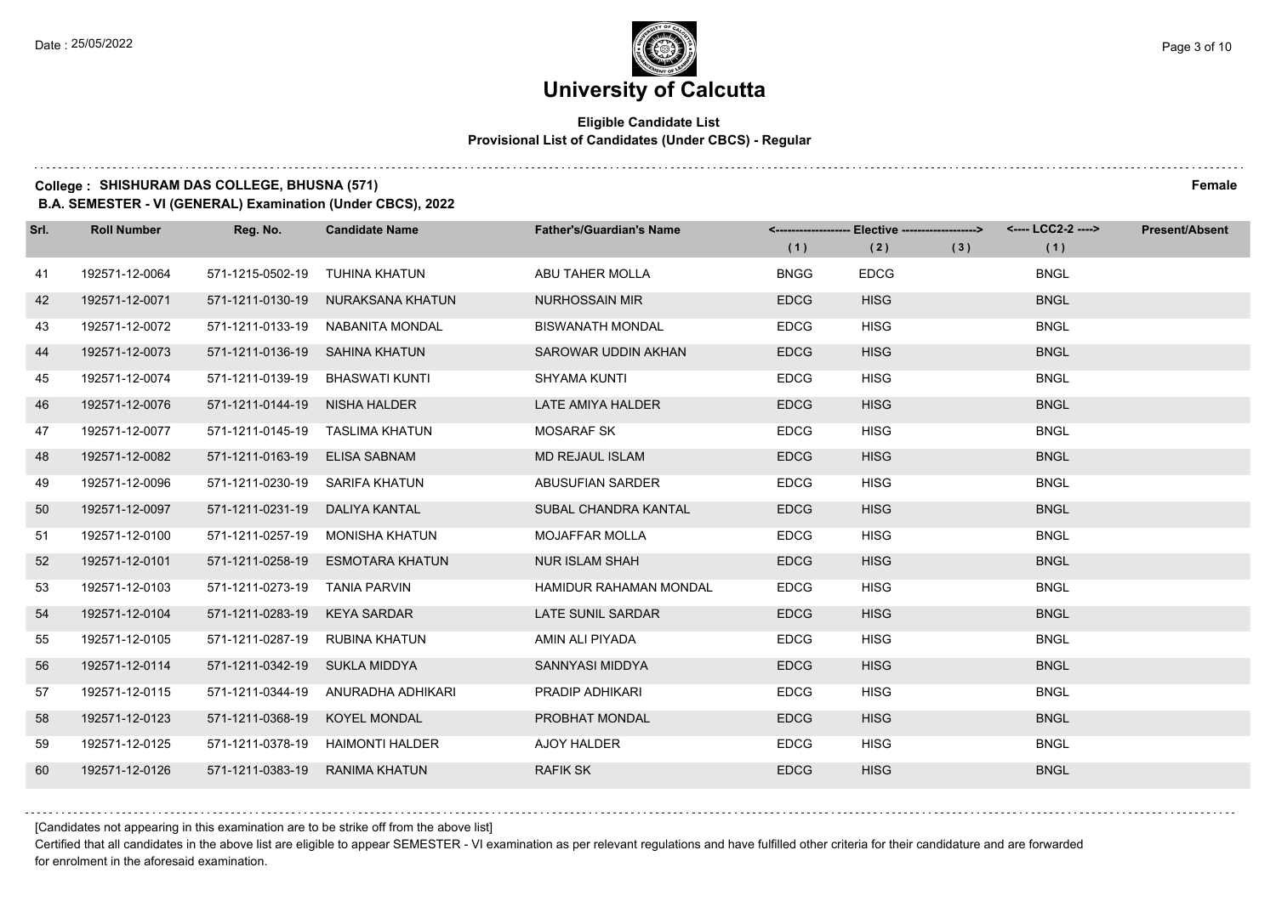#### **Eligible Candidate List Provisional List of Candidates (Under CBCS) - Regular**

**College : SHISHURAM DAS COLLEGE, BHUSNA (571) Female**

**B.A. SEMESTER - VI (GENERAL) Examination (Under CBCS), 2022**

| Srl. | <b>Roll Number</b> | Reg. No.                       | <b>Candidate Name</b>            | <b>Father's/Guardian's Name</b> | (1)         | <------------------- Elective ------------------><br>(2) | (3) | <---- LCC2-2 ----><br>(1) | <b>Present/Absent</b> |
|------|--------------------|--------------------------------|----------------------------------|---------------------------------|-------------|----------------------------------------------------------|-----|---------------------------|-----------------------|
| 41   | 192571-12-0064     | 571-1215-0502-19               | <b>TUHINA KHATUN</b>             | ABU TAHER MOLLA                 | <b>BNGG</b> | <b>EDCG</b>                                              |     | <b>BNGL</b>               |                       |
| 42   | 192571-12-0071     | 571-1211-0130-19               | NURAKSANA KHATUN                 | <b>NURHOSSAIN MIR</b>           | <b>EDCG</b> | <b>HISG</b>                                              |     | <b>BNGL</b>               |                       |
| 43   | 192571-12-0072     |                                | 571-1211-0133-19 NABANITA MONDAL | <b>BISWANATH MONDAL</b>         | <b>EDCG</b> | <b>HISG</b>                                              |     | <b>BNGL</b>               |                       |
| 44   | 192571-12-0073     | 571-1211-0136-19 SAHINA KHATUN |                                  | SAROWAR UDDIN AKHAN             | <b>EDCG</b> | <b>HISG</b>                                              |     | <b>BNGL</b>               |                       |
| 45   | 192571-12-0074     | 571-1211-0139-19               | BHASWATI KUNTI                   | <b>SHYAMA KUNTI</b>             | <b>EDCG</b> | <b>HISG</b>                                              |     | <b>BNGL</b>               |                       |
| 46   | 192571-12-0076     | 571-1211-0144-19 NISHA HALDER  |                                  | LATE AMIYA HALDER               | <b>EDCG</b> | <b>HISG</b>                                              |     | <b>BNGL</b>               |                       |
| 47   | 192571-12-0077     |                                | 571-1211-0145-19 TASLIMA KHATUN  | <b>MOSARAF SK</b>               | <b>EDCG</b> | <b>HISG</b>                                              |     | <b>BNGL</b>               |                       |
| 48   | 192571-12-0082     | 571-1211-0163-19               | <b>ELISA SABNAM</b>              | <b>MD REJAUL ISLAM</b>          | <b>EDCG</b> | <b>HISG</b>                                              |     | <b>BNGL</b>               |                       |
| 49   | 192571-12-0096     | 571-1211-0230-19               | SARIFA KHATUN                    | ABUSUFIAN SARDER                | <b>EDCG</b> | <b>HISG</b>                                              |     | <b>BNGL</b>               |                       |
| 50   | 192571-12-0097     | 571-1211-0231-19               | DALIYA KANTAL                    | SUBAL CHANDRA KANTAL            | <b>EDCG</b> | <b>HISG</b>                                              |     | <b>BNGL</b>               |                       |
| 51   | 192571-12-0100     | 571-1211-0257-19               | MONISHA KHATUN                   | <b>MOJAFFAR MOLLA</b>           | <b>EDCG</b> | <b>HISG</b>                                              |     | <b>BNGL</b>               |                       |
| 52   | 192571-12-0101     | 571-1211-0258-19               | <b>ESMOTARA KHATUN</b>           | <b>NUR ISLAM SHAH</b>           | <b>EDCG</b> | <b>HISG</b>                                              |     | <b>BNGL</b>               |                       |
| 53   | 192571-12-0103     | 571-1211-0273-19               | TANIA PARVIN                     | <b>HAMIDUR RAHAMAN MONDAL</b>   | <b>EDCG</b> | <b>HISG</b>                                              |     | <b>BNGL</b>               |                       |
| 54   | 192571-12-0104     | 571-1211-0283-19               | <b>KEYA SARDAR</b>               | <b>LATE SUNIL SARDAR</b>        | <b>EDCG</b> | <b>HISG</b>                                              |     | <b>BNGL</b>               |                       |
| 55   | 192571-12-0105     | 571-1211-0287-19               | RUBINA KHATUN                    | AMIN ALI PIYADA                 | <b>EDCG</b> | <b>HISG</b>                                              |     | <b>BNGL</b>               |                       |
| 56   | 192571-12-0114     | 571-1211-0342-19 SUKLA MIDDYA  |                                  | SANNYASI MIDDYA                 | <b>EDCG</b> | <b>HISG</b>                                              |     | <b>BNGL</b>               |                       |
| 57   | 192571-12-0115     | 571-1211-0344-19               | ANURADHA ADHIKARI                | PRADIP ADHIKARI                 | <b>EDCG</b> | <b>HISG</b>                                              |     | <b>BNGL</b>               |                       |
| 58   | 192571-12-0123     | 571-1211-0368-19               | <b>KOYEL MONDAL</b>              | PROBHAT MONDAL                  | <b>EDCG</b> | <b>HISG</b>                                              |     | <b>BNGL</b>               |                       |
| 59   | 192571-12-0125     |                                | 571-1211-0378-19 HAIMONTI HALDER | <b>AJOY HALDER</b>              | <b>EDCG</b> | <b>HISG</b>                                              |     | <b>BNGL</b>               |                       |
| 60   | 192571-12-0126     | 571-1211-0383-19               | <b>RANIMA KHATUN</b>             | <b>RAFIK SK</b>                 | <b>EDCG</b> | <b>HISG</b>                                              |     | <b>BNGL</b>               |                       |

[Candidates not appearing in this examination are to be strike off from the above list]

Certified that all candidates in the above list are eligible to appear SEMESTER - VI examination as per relevant regulations and have fulfilled other criteria for their candidature and are forwarded for enrolment in the aforesaid examination.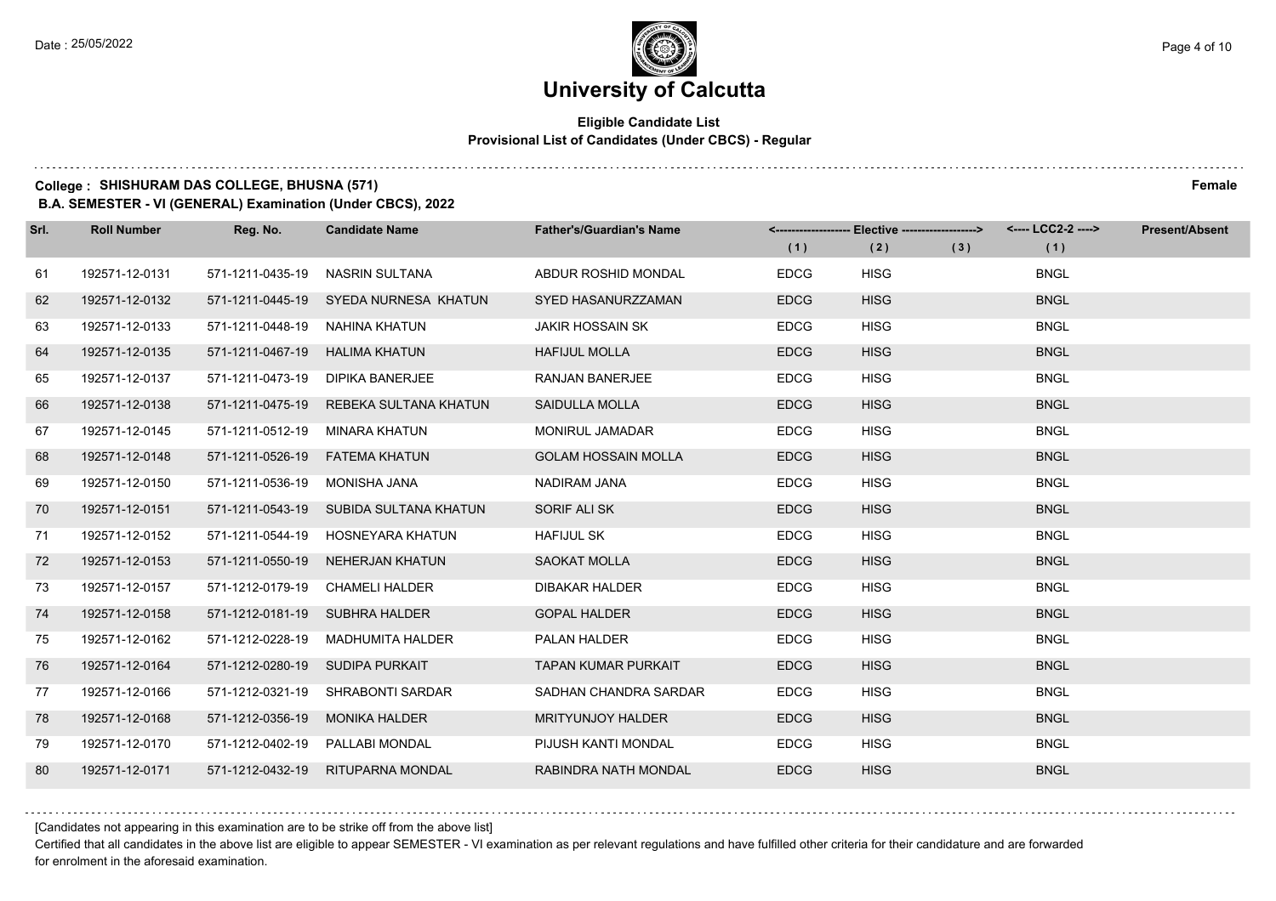#### **Eligible Candidate List Provisional List of Candidates (Under CBCS) - Regular**

**College : SHISHURAM DAS COLLEGE, BHUSNA (571) Female**

**B.A. SEMESTER - VI (GENERAL) Examination (Under CBCS), 2022**

| Srl. | <b>Roll Number</b> | Reg. No.         | <b>Candidate Name</b>                  | <b>Father's/Guardian's Name</b> | (1)         | <-------------------- Elective -------------------><br>(2) | (3) | <---- LCC2-2 ----><br>(1) | <b>Present/Absent</b> |
|------|--------------------|------------------|----------------------------------------|---------------------------------|-------------|------------------------------------------------------------|-----|---------------------------|-----------------------|
| 61   | 192571-12-0131     | 571-1211-0435-19 | <b>NASRIN SULTANA</b>                  | ABDUR ROSHID MONDAL             | <b>EDCG</b> | <b>HISG</b>                                                |     | <b>BNGL</b>               |                       |
| 62   | 192571-12-0132     |                  | 571-1211-0445-19 SYEDA NURNESA KHATUN  | <b>SYED HASANURZZAMAN</b>       | <b>EDCG</b> | <b>HISG</b>                                                |     | <b>BNGL</b>               |                       |
| 63   | 192571-12-0133     | 571-1211-0448-19 | NAHINA KHATUN                          | <b>JAKIR HOSSAIN SK</b>         | <b>EDCG</b> | <b>HISG</b>                                                |     | <b>BNGL</b>               |                       |
| 64   | 192571-12-0135     |                  | 571-1211-0467-19 HALIMA KHATUN         | <b>HAFIJUL MOLLA</b>            | <b>EDCG</b> | <b>HISG</b>                                                |     | <b>BNGL</b>               |                       |
| 65   | 192571-12-0137     | 571-1211-0473-19 | DIPIKA BANERJEE                        | <b>RANJAN BANERJEE</b>          | <b>EDCG</b> | <b>HISG</b>                                                |     | <b>BNGL</b>               |                       |
| 66   | 192571-12-0138     | 571-1211-0475-19 | REBEKA SULTANA KHATUN                  | SAIDULLA MOLLA                  | <b>EDCG</b> | <b>HISG</b>                                                |     | <b>BNGL</b>               |                       |
| 67   | 192571-12-0145     | 571-1211-0512-19 | MINARA KHATUN                          | <b>MONIRUL JAMADAR</b>          | <b>EDCG</b> | <b>HISG</b>                                                |     | <b>BNGL</b>               |                       |
| 68   | 192571-12-0148     |                  | 571-1211-0526-19    FATEMA KHATUN      | <b>GOLAM HOSSAIN MOLLA</b>      | <b>EDCG</b> | <b>HISG</b>                                                |     | <b>BNGL</b>               |                       |
| 69   | 192571-12-0150     | 571-1211-0536-19 | MONISHA JANA                           | NADIRAM JANA                    | <b>EDCG</b> | <b>HISG</b>                                                |     | <b>BNGL</b>               |                       |
| 70   | 192571-12-0151     |                  | 571-1211-0543-19 SUBIDA SULTANA KHATUN | SORIF ALI SK                    | <b>EDCG</b> | <b>HISG</b>                                                |     | <b>BNGL</b>               |                       |
| 71   | 192571-12-0152     | 571-1211-0544-19 | HOSNEYARA KHATUN                       | <b>HAFIJUL SK</b>               | <b>EDCG</b> | <b>HISG</b>                                                |     | <b>BNGL</b>               |                       |
| 72   | 192571-12-0153     |                  | 571-1211-0550-19 NEHERJAN KHATUN       | <b>SAOKAT MOLLA</b>             | <b>EDCG</b> | <b>HISG</b>                                                |     | <b>BNGL</b>               |                       |
| 73   | 192571-12-0157     | 571-1212-0179-19 | CHAMELI HALDER                         | <b>DIBAKAR HALDER</b>           | <b>EDCG</b> | <b>HISG</b>                                                |     | <b>BNGL</b>               |                       |
| 74   | 192571-12-0158     |                  | 571-1212-0181-19 SUBHRA HALDER         | <b>GOPAL HALDER</b>             | <b>EDCG</b> | <b>HISG</b>                                                |     | <b>BNGL</b>               |                       |
| 75   | 192571-12-0162     |                  | 571-1212-0228-19 MADHUMITA HALDER      | <b>PALAN HALDER</b>             | <b>EDCG</b> | <b>HISG</b>                                                |     | <b>BNGL</b>               |                       |
| 76   | 192571-12-0164     |                  | 571-1212-0280-19 SUDIPA PURKAIT        | <b>TAPAN KUMAR PURKAIT</b>      | <b>EDCG</b> | <b>HISG</b>                                                |     | <b>BNGL</b>               |                       |
| 77   | 192571-12-0166     |                  | 571-1212-0321-19 SHRABONTI SARDAR      | SADHAN CHANDRA SARDAR           | <b>EDCG</b> | <b>HISG</b>                                                |     | <b>BNGL</b>               |                       |
| 78   | 192571-12-0168     | 571-1212-0356-19 | <b>MONIKA HALDER</b>                   | <b>MRITYUNJOY HALDER</b>        | <b>EDCG</b> | <b>HISG</b>                                                |     | <b>BNGL</b>               |                       |
| 79   | 192571-12-0170     |                  | 571-1212-0402-19    PALLABI MONDAL     | PIJUSH KANTI MONDAL             | <b>EDCG</b> | <b>HISG</b>                                                |     | <b>BNGL</b>               |                       |
| 80   | 192571-12-0171     |                  | 571-1212-0432-19 RITUPARNA MONDAL      | RABINDRA NATH MONDAL            | <b>EDCG</b> | <b>HISG</b>                                                |     | <b>BNGL</b>               |                       |

[Candidates not appearing in this examination are to be strike off from the above list]

Certified that all candidates in the above list are eligible to appear SEMESTER - VI examination as per relevant regulations and have fulfilled other criteria for their candidature and are forwarded for enrolment in the aforesaid examination.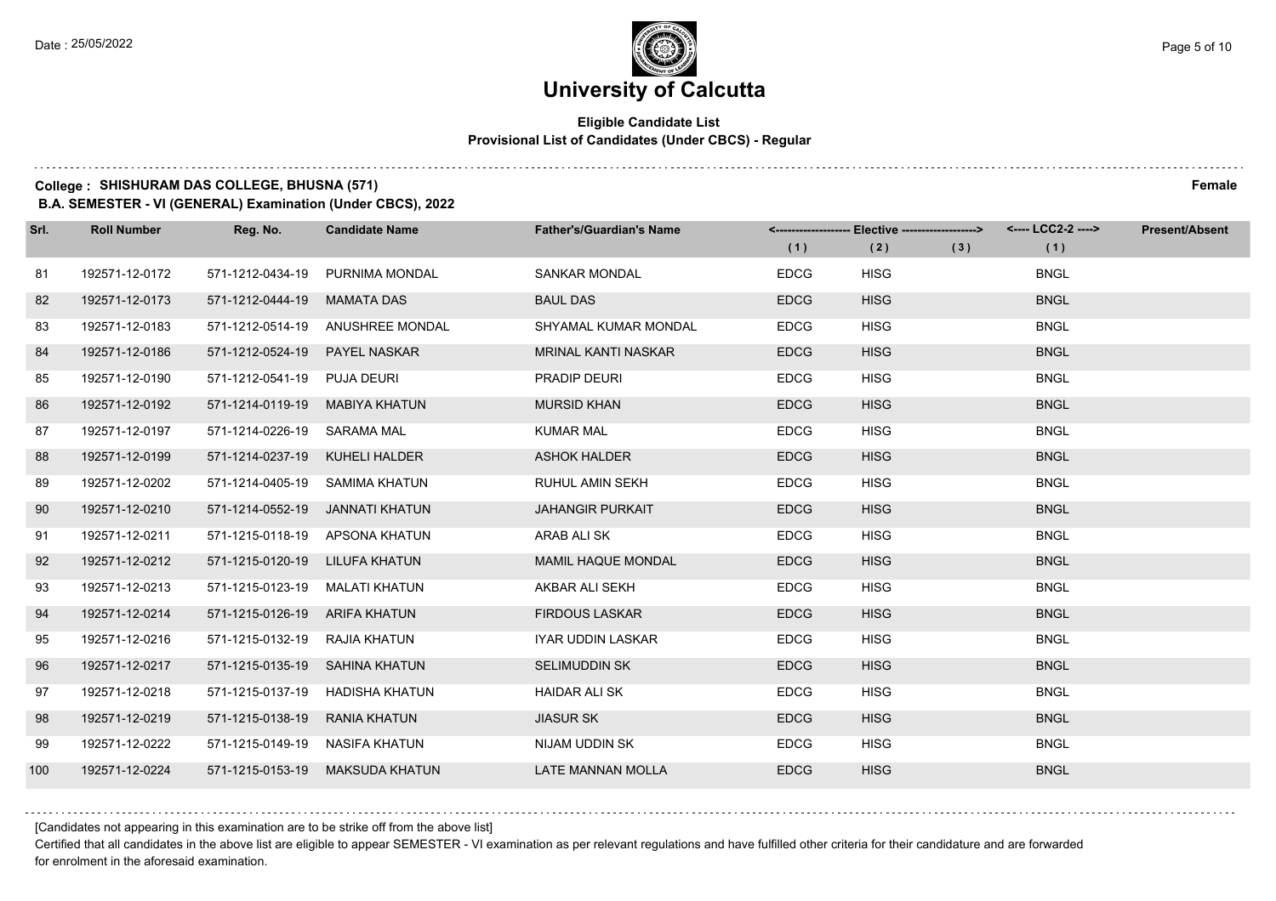#### **Eligible Candidate List Provisional List of Candidates (Under CBCS) - Regular**

### **College : SHISHURAM DAS COLLEGE, BHUSNA (571) Female**

**B.A. SEMESTER - VI (GENERAL) Examination (Under CBCS), 2022**

| Srl. | <b>Roll Number</b> | Reg. No.                       | <b>Candidate Name</b>            | <b>Father's/Guardian's Name</b> | (1)         | <-------------------- Elective ------------------><br>(2) | (3) | <---- LCC2-2 ----><br>(1) | <b>Present/Absent</b> |
|------|--------------------|--------------------------------|----------------------------------|---------------------------------|-------------|-----------------------------------------------------------|-----|---------------------------|-----------------------|
| 81   | 192571-12-0172     | 571-1212-0434-19               | PURNIMA MONDAL                   | <b>SANKAR MONDAL</b>            | <b>EDCG</b> | <b>HISG</b>                                               |     | <b>BNGL</b>               |                       |
| 82   | 192571-12-0173     | 571-1212-0444-19               | <b>MAMATA DAS</b>                | <b>BAUL DAS</b>                 | <b>EDCG</b> | <b>HISG</b>                                               |     | <b>BNGL</b>               |                       |
| 83   | 192571-12-0183     |                                | 571-1212-0514-19 ANUSHREE MONDAL | SHYAMAL KUMAR MONDAL            | <b>EDCG</b> | <b>HISG</b>                                               |     | <b>BNGL</b>               |                       |
| 84   | 192571-12-0186     | 571-1212-0524-19               | <b>PAYEL NASKAR</b>              | <b>MRINAL KANTI NASKAR</b>      | <b>EDCG</b> | <b>HISG</b>                                               |     | <b>BNGL</b>               |                       |
| 85   | 192571-12-0190     | 571-1212-0541-19               | <b>PUJA DEURI</b>                | PRADIP DEURI                    | <b>EDCG</b> | <b>HISG</b>                                               |     | <b>BNGL</b>               |                       |
| 86   | 192571-12-0192     | 571-1214-0119-19               | <b>MABIYA KHATUN</b>             | <b>MURSID KHAN</b>              | <b>EDCG</b> | <b>HISG</b>                                               |     | <b>BNGL</b>               |                       |
| 87   | 192571-12-0197     | 571-1214-0226-19 SARAMA MAL    |                                  | <b>KUMAR MAL</b>                | <b>EDCG</b> | <b>HISG</b>                                               |     | <b>BNGL</b>               |                       |
| 88   | 192571-12-0199     | 571-1214-0237-19 KUHELI HALDER |                                  | <b>ASHOK HALDER</b>             | <b>EDCG</b> | <b>HISG</b>                                               |     | <b>BNGL</b>               |                       |
| 89   | 192571-12-0202     | 571-1214-0405-19 SAMIMA KHATUN |                                  | RUHUL AMIN SEKH                 | <b>EDCG</b> | <b>HISG</b>                                               |     | <b>BNGL</b>               |                       |
| 90   | 192571-12-0210     |                                | 571-1214-0552-19 JANNATI KHATUN  | <b>JAHANGIR PURKAIT</b>         | <b>EDCG</b> | <b>HISG</b>                                               |     | <b>BNGL</b>               |                       |
| 91   | 192571-12-0211     |                                | 571-1215-0118-19 APSONA KHATUN   | ARAB ALI SK                     | <b>EDCG</b> | <b>HISG</b>                                               |     | <b>BNGL</b>               |                       |
| 92   | 192571-12-0212     | 571-1215-0120-19 LILUFA KHATUN |                                  | <b>MAMIL HAQUE MONDAL</b>       | <b>EDCG</b> | <b>HISG</b>                                               |     | <b>BNGL</b>               |                       |
| 93   | 192571-12-0213     | 571-1215-0123-19 MALATI KHATUN |                                  | AKBAR ALI SEKH                  | <b>EDCG</b> | <b>HISG</b>                                               |     | <b>BNGL</b>               |                       |
| 94   | 192571-12-0214     | 571-1215-0126-19 ARIFA KHATUN  |                                  | <b>FIRDOUS LASKAR</b>           | <b>EDCG</b> | <b>HISG</b>                                               |     | <b>BNGL</b>               |                       |
| 95   | 192571-12-0216     | 571-1215-0132-19 RAJIA KHATUN  |                                  | <b>IYAR UDDIN LASKAR</b>        | <b>EDCG</b> | <b>HISG</b>                                               |     | <b>BNGL</b>               |                       |
| 96   | 192571-12-0217     | 571-1215-0135-19 SAHINA KHATUN |                                  | <b>SELIMUDDIN SK</b>            | <b>EDCG</b> | <b>HISG</b>                                               |     | <b>BNGL</b>               |                       |
| 97   | 192571-12-0218     | 571-1215-0137-19               | HADISHA KHATUN                   | <b>HAIDAR ALI SK</b>            | <b>EDCG</b> | <b>HISG</b>                                               |     | <b>BNGL</b>               |                       |
| 98   | 192571-12-0219     | 571-1215-0138-19               | <b>RANIA KHATUN</b>              | <b>JIASUR SK</b>                | <b>EDCG</b> | <b>HISG</b>                                               |     | <b>BNGL</b>               |                       |
| 99   | 192571-12-0222     | 571-1215-0149-19 NASIFA KHATUN |                                  | NIJAM UDDIN SK                  | <b>EDCG</b> | <b>HISG</b>                                               |     | <b>BNGL</b>               |                       |
| 100  | 192571-12-0224     | 571-1215-0153-19               | <b>MAKSUDA KHATUN</b>            | <b>LATE MANNAN MOLLA</b>        | <b>EDCG</b> | <b>HISG</b>                                               |     | <b>BNGL</b>               |                       |

[Candidates not appearing in this examination are to be strike off from the above list]

Certified that all candidates in the above list are eligible to appear SEMESTER - VI examination as per relevant regulations and have fulfilled other criteria for their candidature and are forwarded for enrolment in the aforesaid examination.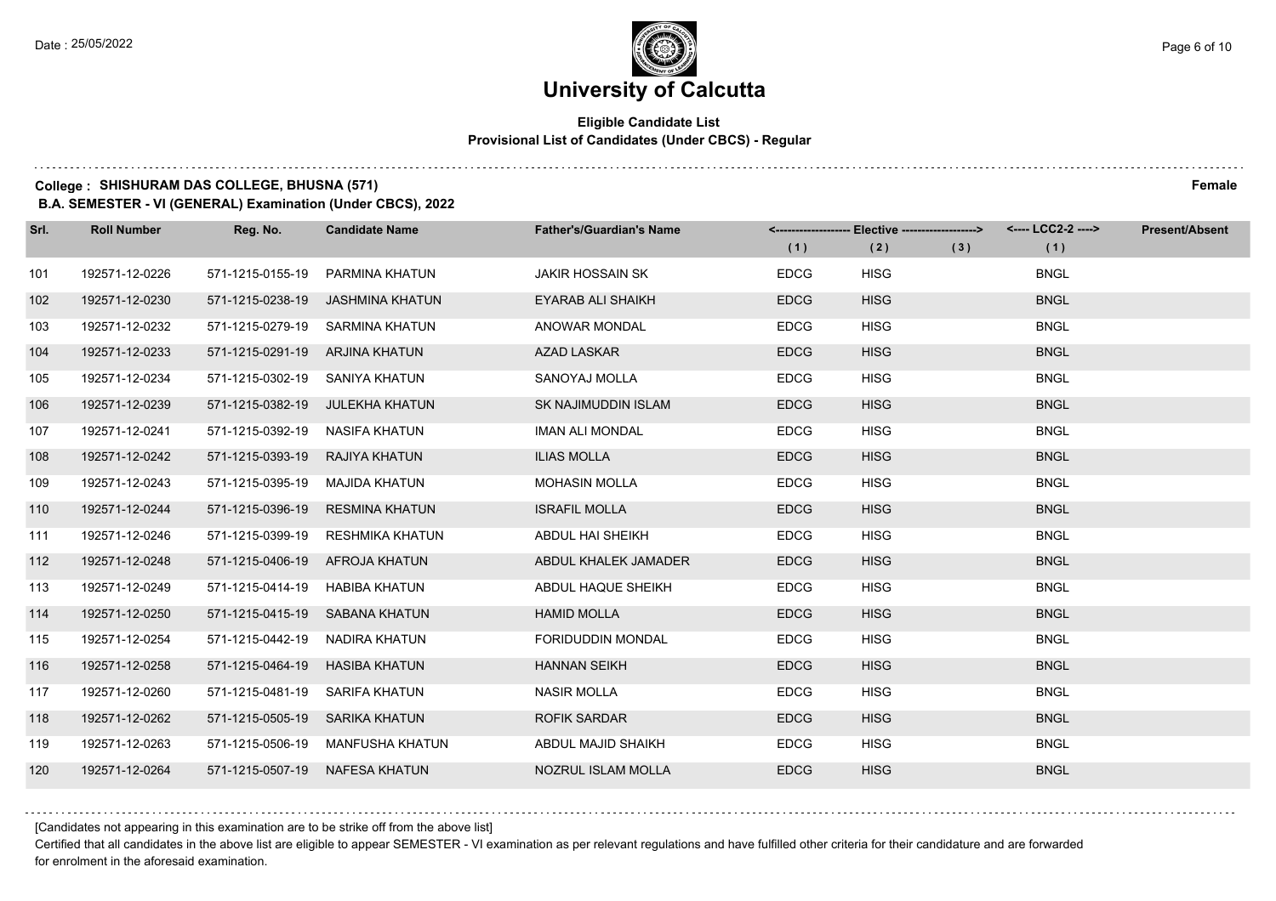#### **Eligible Candidate List Provisional List of Candidates (Under CBCS) - Regular**

### **College : SHISHURAM DAS COLLEGE, BHUSNA (571) Female**

**B.A. SEMESTER - VI (GENERAL) Examination (Under CBCS), 2022**

| Srl. | <b>Roll Number</b> | Reg. No.                       | <b>Candidate Name</b>           | <b>Father's/Guardian's Name</b> | (1)         | <-------------------- Elective ------------------><br>(2) | (3) | <---- LCC2-2 ----><br>(1) | <b>Present/Absent</b> |
|------|--------------------|--------------------------------|---------------------------------|---------------------------------|-------------|-----------------------------------------------------------|-----|---------------------------|-----------------------|
| 101  | 192571-12-0226     | 571-1215-0155-19               | PARMINA KHATUN                  | <b>JAKIR HOSSAIN SK</b>         | <b>EDCG</b> | <b>HISG</b>                                               |     | <b>BNGL</b>               |                       |
| 102  | 192571-12-0230     | 571-1215-0238-19               | JASHMINA KHATUN                 | <b>EYARAB ALI SHAIKH</b>        | <b>EDCG</b> | <b>HISG</b>                                               |     | <b>BNGL</b>               |                       |
| 103  | 192571-12-0232     |                                | 571-1215-0279-19 SARMINA KHATUN | ANOWAR MONDAL                   | <b>EDCG</b> | <b>HISG</b>                                               |     | <b>BNGL</b>               |                       |
| 104  | 192571-12-0233     | 571-1215-0291-19 ARJINA KHATUN |                                 | AZAD LASKAR                     | <b>EDCG</b> | <b>HISG</b>                                               |     | <b>BNGL</b>               |                       |
| 105  | 192571-12-0234     | 571-1215-0302-19 SANIYA KHATUN |                                 | SANOYAJ MOLLA                   | <b>EDCG</b> | <b>HISG</b>                                               |     | <b>BNGL</b>               |                       |
| 106  | 192571-12-0239     |                                | 571-1215-0382-19 JULEKHA KHATUN | SK NAJIMUDDIN ISLAM             | <b>EDCG</b> | <b>HISG</b>                                               |     | <b>BNGL</b>               |                       |
| 107  | 192571-12-0241     | 571-1215-0392-19               | NASIFA KHATUN                   | <b>IMAN ALI MONDAL</b>          | <b>EDCG</b> | <b>HISG</b>                                               |     | <b>BNGL</b>               |                       |
| 108  | 192571-12-0242     | 571-1215-0393-19 RAJIYA KHATUN |                                 | <b>ILIAS MOLLA</b>              | <b>EDCG</b> | <b>HISG</b>                                               |     | <b>BNGL</b>               |                       |
| 109  | 192571-12-0243     | 571-1215-0395-19               | MAJIDA KHATUN                   | <b>MOHASIN MOLLA</b>            | <b>EDCG</b> | <b>HISG</b>                                               |     | <b>BNGL</b>               |                       |
| 110  | 192571-12-0244     | 571-1215-0396-19               | <b>RESMINA KHATUN</b>           | <b>ISRAFIL MOLLA</b>            | <b>EDCG</b> | <b>HISG</b>                                               |     | <b>BNGL</b>               |                       |
| 111  | 192571-12-0246     | 571-1215-0399-19               | RESHMIKA KHATUN                 | ABDUL HAI SHEIKH                | <b>EDCG</b> | <b>HISG</b>                                               |     | <b>BNGL</b>               |                       |
| 112  | 192571-12-0248     |                                | 571-1215-0406-19 AFROJA KHATUN  | ABDUL KHALEK JAMADER            | <b>EDCG</b> | <b>HISG</b>                                               |     | <b>BNGL</b>               |                       |
| 113  | 192571-12-0249     | 571-1215-0414-19               | <b>HABIBA KHATUN</b>            | ABDUL HAQUE SHEIKH              | <b>EDCG</b> | <b>HISG</b>                                               |     | <b>BNGL</b>               |                       |
| 114  | 192571-12-0250     |                                | 571-1215-0415-19 SABANA KHATUN  | <b>HAMID MOLLA</b>              | <b>EDCG</b> | <b>HISG</b>                                               |     | <b>BNGL</b>               |                       |
| 115  | 192571-12-0254     | 571-1215-0442-19 NADIRA KHATUN |                                 | FORIDUDDIN MONDAL               | <b>EDCG</b> | <b>HISG</b>                                               |     | <b>BNGL</b>               |                       |
| 116  | 192571-12-0258     | 571-1215-0464-19               | HASIBA KHATUN                   | <b>HANNAN SEIKH</b>             | <b>EDCG</b> | <b>HISG</b>                                               |     | <b>BNGL</b>               |                       |
| 117  | 192571-12-0260     | 571-1215-0481-19               | <b>SARIFA KHATUN</b>            | <b>NASIR MOLLA</b>              | <b>EDCG</b> | <b>HISG</b>                                               |     | <b>BNGL</b>               |                       |
| 118  | 192571-12-0262     | 571-1215-0505-19 SARIKA KHATUN |                                 | <b>ROFIK SARDAR</b>             | <b>EDCG</b> | <b>HISG</b>                                               |     | <b>BNGL</b>               |                       |
| 119  | 192571-12-0263     | 571-1215-0506-19               | MANFUSHA KHATUN                 | ABDUL MAJID SHAIKH              | <b>EDCG</b> | <b>HISG</b>                                               |     | <b>BNGL</b>               |                       |
| 120  | 192571-12-0264     |                                | 571-1215-0507-19 NAFESA KHATUN  | NOZRUL ISLAM MOLLA              | <b>EDCG</b> | <b>HISG</b>                                               |     | <b>BNGL</b>               |                       |

[Candidates not appearing in this examination are to be strike off from the above list]

Certified that all candidates in the above list are eligible to appear SEMESTER - VI examination as per relevant regulations and have fulfilled other criteria for their candidature and are forwarded for enrolment in the aforesaid examination.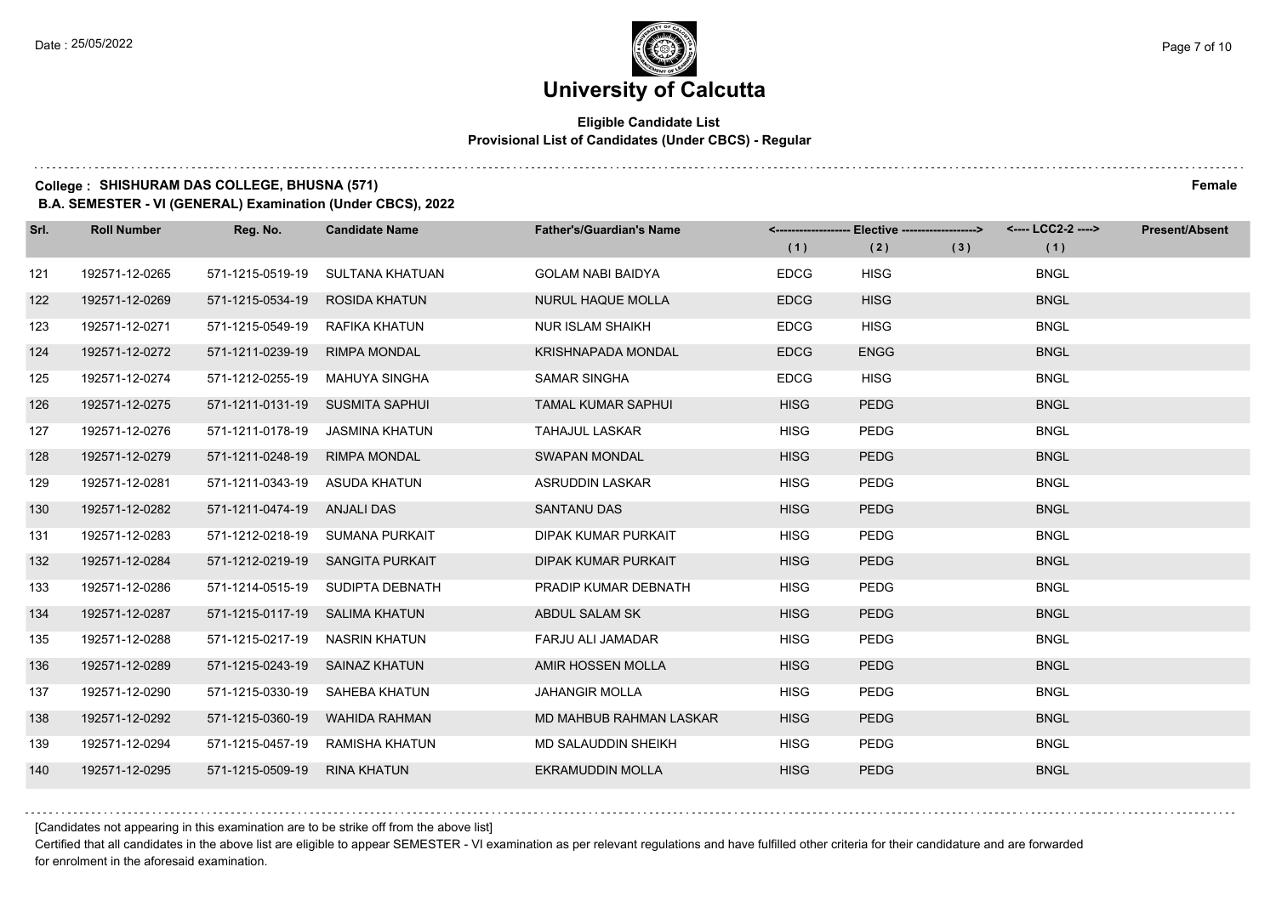#### **Eligible Candidate List Provisional List of Candidates (Under CBCS) - Regular**

**College : SHISHURAM DAS COLLEGE, BHUSNA (571) Female**

**B.A. SEMESTER - VI (GENERAL) Examination (Under CBCS), 2022**

| Srl. | <b>Roll Number</b> | Reg. No.                       | <b>Candidate Name</b>            | <b>Father's/Guardian's Name</b> | (1)         | <------------------- Elective ------------------><br>(2) | (3) | <---- LCC2-2 ----><br>(1) | <b>Present/Absent</b> |
|------|--------------------|--------------------------------|----------------------------------|---------------------------------|-------------|----------------------------------------------------------|-----|---------------------------|-----------------------|
| 121  | 192571-12-0265     | 571-1215-0519-19               | SULTANA KHATUAN                  | <b>GOLAM NABI BAIDYA</b>        | <b>EDCG</b> | <b>HISG</b>                                              |     | <b>BNGL</b>               |                       |
| 122  | 192571-12-0269     | 571-1215-0534-19 ROSIDA KHATUN |                                  | <b>NURUL HAQUE MOLLA</b>        | <b>EDCG</b> | <b>HISG</b>                                              |     | <b>BNGL</b>               |                       |
| 123  | 192571-12-0271     | 571-1215-0549-19 RAFIKA KHATUN |                                  | <b>NUR ISLAM SHAIKH</b>         | <b>EDCG</b> | <b>HISG</b>                                              |     | <b>BNGL</b>               |                       |
| 124  | 192571-12-0272     | 571-1211-0239-19               | <b>RIMPA MONDAL</b>              | <b>KRISHNAPADA MONDAL</b>       | <b>EDCG</b> | <b>ENGG</b>                                              |     | <b>BNGL</b>               |                       |
| 125  | 192571-12-0274     | 571-1212-0255-19               | MAHUYA SINGHA                    | <b>SAMAR SINGHA</b>             | <b>EDCG</b> | <b>HISG</b>                                              |     | <b>BNGL</b>               |                       |
| 126  | 192571-12-0275     |                                | 571-1211-0131-19 SUSMITA SAPHUI  | <b>TAMAL KUMAR SAPHUI</b>       | <b>HISG</b> | <b>PEDG</b>                                              |     | <b>BNGL</b>               |                       |
| 127  | 192571-12-0276     | 571-1211-0178-19               | JASMINA KHATUN                   | <b>TAHAJUL LASKAR</b>           | <b>HISG</b> | PEDG                                                     |     | <b>BNGL</b>               |                       |
| 128  | 192571-12-0279     | 571-1211-0248-19               | <b>RIMPA MONDAL</b>              | <b>SWAPAN MONDAL</b>            | <b>HISG</b> | <b>PEDG</b>                                              |     | <b>BNGL</b>               |                       |
| 129  | 192571-12-0281     | 571-1211-0343-19               | ASUDA KHATUN                     | ASRUDDIN LASKAR                 | <b>HISG</b> | <b>PEDG</b>                                              |     | <b>BNGL</b>               |                       |
| 130  | 192571-12-0282     | 571-1211-0474-19 ANJALI DAS    |                                  | <b>SANTANU DAS</b>              | <b>HISG</b> | <b>PEDG</b>                                              |     | <b>BNGL</b>               |                       |
| 131  | 192571-12-0283     |                                | 571-1212-0218-19 SUMANA PURKAIT  | DIPAK KUMAR PURKAIT             | <b>HISG</b> | <b>PEDG</b>                                              |     | <b>BNGL</b>               |                       |
| 132  | 192571-12-0284     |                                | 571-1212-0219-19 SANGITA PURKAIT | <b>DIPAK KUMAR PURKAIT</b>      | <b>HISG</b> | <b>PEDG</b>                                              |     | <b>BNGL</b>               |                       |
| 133  | 192571-12-0286     | 571-1214-0515-19               | SUDIPTA DEBNATH                  | PRADIP KUMAR DEBNATH            | <b>HISG</b> | <b>PEDG</b>                                              |     | <b>BNGL</b>               |                       |
| 134  | 192571-12-0287     | 571-1215-0117-19 SALIMA KHATUN |                                  | ABDUL SALAM SK                  | <b>HISG</b> | <b>PEDG</b>                                              |     | <b>BNGL</b>               |                       |
| 135  | 192571-12-0288     | 571-1215-0217-19               | NASRIN KHATUN                    | FARJU ALI JAMADAR               | <b>HISG</b> | PEDG                                                     |     | <b>BNGL</b>               |                       |
| 136  | 192571-12-0289     | 571-1215-0243-19 SAINAZ KHATUN |                                  | AMIR HOSSEN MOLLA               | <b>HISG</b> | <b>PEDG</b>                                              |     | <b>BNGL</b>               |                       |
| 137  | 192571-12-0290     | 571-1215-0330-19               | SAHEBA KHATUN                    | <b>JAHANGIR MOLLA</b>           | <b>HISG</b> | PEDG                                                     |     | <b>BNGL</b>               |                       |
| 138  | 192571-12-0292     | 571-1215-0360-19               | <b>WAHIDA RAHMAN</b>             | MD MAHBUB RAHMAN LASKAR         | <b>HISG</b> | <b>PEDG</b>                                              |     | <b>BNGL</b>               |                       |
| 139  | 192571-12-0294     | 571-1215-0457-19               | RAMISHA KHATUN                   | MD SALAUDDIN SHEIKH             | <b>HISG</b> | <b>PEDG</b>                                              |     | <b>BNGL</b>               |                       |
| 140  | 192571-12-0295     | 571-1215-0509-19               | <b>RINA KHATUN</b>               | <b>EKRAMUDDIN MOLLA</b>         | <b>HISG</b> | <b>PEDG</b>                                              |     | <b>BNGL</b>               |                       |

[Candidates not appearing in this examination are to be strike off from the above list]

Certified that all candidates in the above list are eligible to appear SEMESTER - VI examination as per relevant regulations and have fulfilled other criteria for their candidature and are forwarded for enrolment in the aforesaid examination.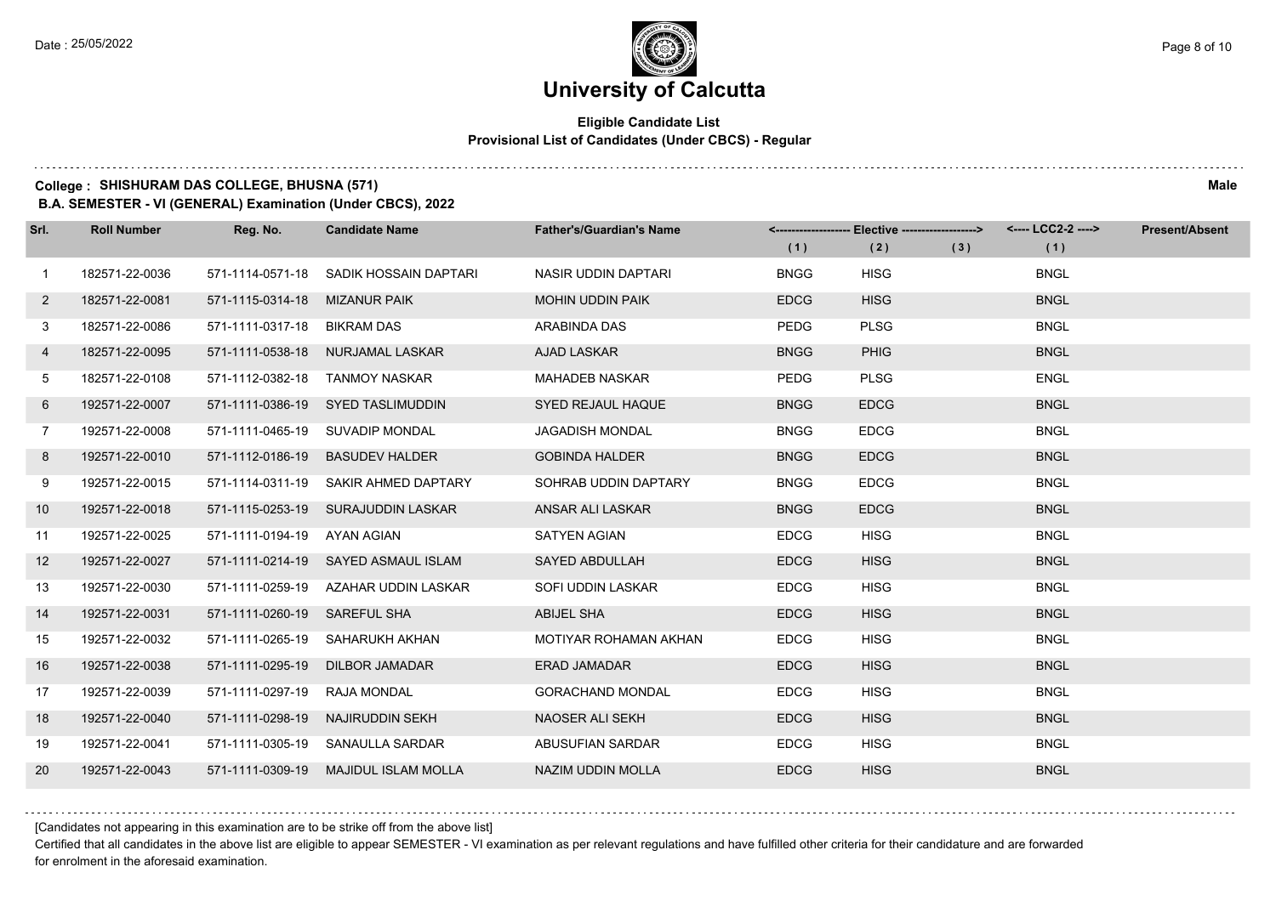#### **Eligible Candidate List Provisional List of Candidates (Under CBCS) - Regular**

**College : SHISHURAM DAS COLLEGE, BHUSNA (571) Male**

**B.A. SEMESTER - VI (GENERAL) Examination (Under CBCS), 2022**

| Srl.           | <b>Roll Number</b> | Reg. No.                     | <b>Candidate Name</b>                | <b>Father's/Guardian's Name</b> | (1)         | <-------------------- Elective -------------------><br>(2) | (3) | (1)         | <b>Present/Absent</b> |
|----------------|--------------------|------------------------------|--------------------------------------|---------------------------------|-------------|------------------------------------------------------------|-----|-------------|-----------------------|
| $\mathbf{1}$   | 182571-22-0036     | 571-1114-0571-18             | SADIK HOSSAIN DAPTARI                | NASIR UDDIN DAPTARI             | <b>BNGG</b> | <b>HISG</b>                                                |     | <b>BNGL</b> |                       |
| $\mathbf{2}$   | 182571-22-0081     | 571-1115-0314-18             | <b>MIZANUR PAIK</b>                  | <b>MOHIN UDDIN PAIK</b>         | <b>EDCG</b> | <b>HISG</b>                                                |     | <b>BNGL</b> |                       |
| 3              | 182571-22-0086     | 571-1111-0317-18 BIKRAM DAS  |                                      | ARABINDA DAS                    | <b>PEDG</b> | <b>PLSG</b>                                                |     | <b>BNGL</b> |                       |
| 4              | 182571-22-0095     |                              | 571-1111-0538-18 NURJAMAL LASKAR     | <b>AJAD LASKAR</b>              | <b>BNGG</b> | <b>PHIG</b>                                                |     | <b>BNGL</b> |                       |
| 5              | 182571-22-0108     | 571-1112-0382-18             | <b>TANMOY NASKAR</b>                 | <b>MAHADEB NASKAR</b>           | <b>PEDG</b> | <b>PLSG</b>                                                |     | <b>ENGL</b> |                       |
| 6              | 192571-22-0007     |                              | 571-1111-0386-19 SYED TASLIMUDDIN    | <b>SYED REJAUL HAQUE</b>        | <b>BNGG</b> | <b>EDCG</b>                                                |     | <b>BNGL</b> |                       |
| $\overline{7}$ | 192571-22-0008     |                              | 571-1111-0465-19 SUVADIP MONDAL      | <b>JAGADISH MONDAL</b>          | <b>BNGG</b> | <b>EDCG</b>                                                |     | <b>BNGL</b> |                       |
| 8              | 192571-22-0010     |                              | 571-1112-0186-19 BASUDEV HALDER      | <b>GOBINDA HALDER</b>           | <b>BNGG</b> | <b>EDCG</b>                                                |     | <b>BNGL</b> |                       |
| 9              | 192571-22-0015     |                              | 571-1114-0311-19 SAKIR AHMED DAPTARY | SOHRAB UDDIN DAPTARY            | <b>BNGG</b> | <b>EDCG</b>                                                |     | <b>BNGL</b> |                       |
| 10             | 192571-22-0018     |                              | 571-1115-0253-19 SURAJUDDIN LASKAR   | ANSAR ALI LASKAR                | <b>BNGG</b> | <b>EDCG</b>                                                |     | <b>BNGL</b> |                       |
| 11             | 192571-22-0025     | 571-1111-0194-19 AYAN AGIAN  |                                      | SATYEN AGIAN                    | <b>EDCG</b> | <b>HISG</b>                                                |     | <b>BNGL</b> |                       |
| 12             | 192571-22-0027     |                              | 571-1111-0214-19 SAYED ASMAUL ISLAM  | <b>SAYED ABDULLAH</b>           | <b>EDCG</b> | <b>HISG</b>                                                |     | <b>BNGL</b> |                       |
| 13             | 192571-22-0030     |                              | 571-1111-0259-19 AZAHAR UDDIN LASKAR | SOFI UDDIN LASKAR               | <b>EDCG</b> | <b>HISG</b>                                                |     | <b>BNGL</b> |                       |
| 14             | 192571-22-0031     | 571-1111-0260-19 SAREFUL SHA |                                      | <b>ABIJEL SHA</b>               | <b>EDCG</b> | <b>HISG</b>                                                |     | <b>BNGL</b> |                       |
| 15             | 192571-22-0032     |                              | 571-1111-0265-19 SAHARUKH AKHAN      | MOTIYAR ROHAMAN AKHAN           | <b>EDCG</b> | <b>HISG</b>                                                |     | <b>BNGL</b> |                       |
| 16             | 192571-22-0038     | 571-1111-0295-19             | DILBOR JAMADAR                       | <b>ERAD JAMADAR</b>             | <b>EDCG</b> | <b>HISG</b>                                                |     | <b>BNGL</b> |                       |
| 17             | 192571-22-0039     | 571-1111-0297-19             | <b>RAJA MONDAL</b>                   | <b>GORACHAND MONDAL</b>         | <b>EDCG</b> | <b>HISG</b>                                                |     | <b>BNGL</b> |                       |
| 18             | 192571-22-0040     | 571-1111-0298-19             | NAJIRUDDIN SEKH                      | <b>NAOSER ALI SEKH</b>          | <b>EDCG</b> | <b>HISG</b>                                                |     | <b>BNGL</b> |                       |
| 19             | 192571-22-0041     |                              | 571-1111-0305-19 SANAULLA SARDAR     | ABUSUFIAN SARDAR                | <b>EDCG</b> | <b>HISG</b>                                                |     | <b>BNGL</b> |                       |
| 20             | 192571-22-0043     |                              | 571-1111-0309-19 MAJIDUL ISLAM MOLLA | NAZIM UDDIN MOLLA               | <b>EDCG</b> | <b>HISG</b>                                                |     | <b>BNGL</b> |                       |

[Candidates not appearing in this examination are to be strike off from the above list]

Certified that all candidates in the above list are eligible to appear SEMESTER - VI examination as per relevant regulations and have fulfilled other criteria for their candidature and are forwarded for enrolment in the aforesaid examination.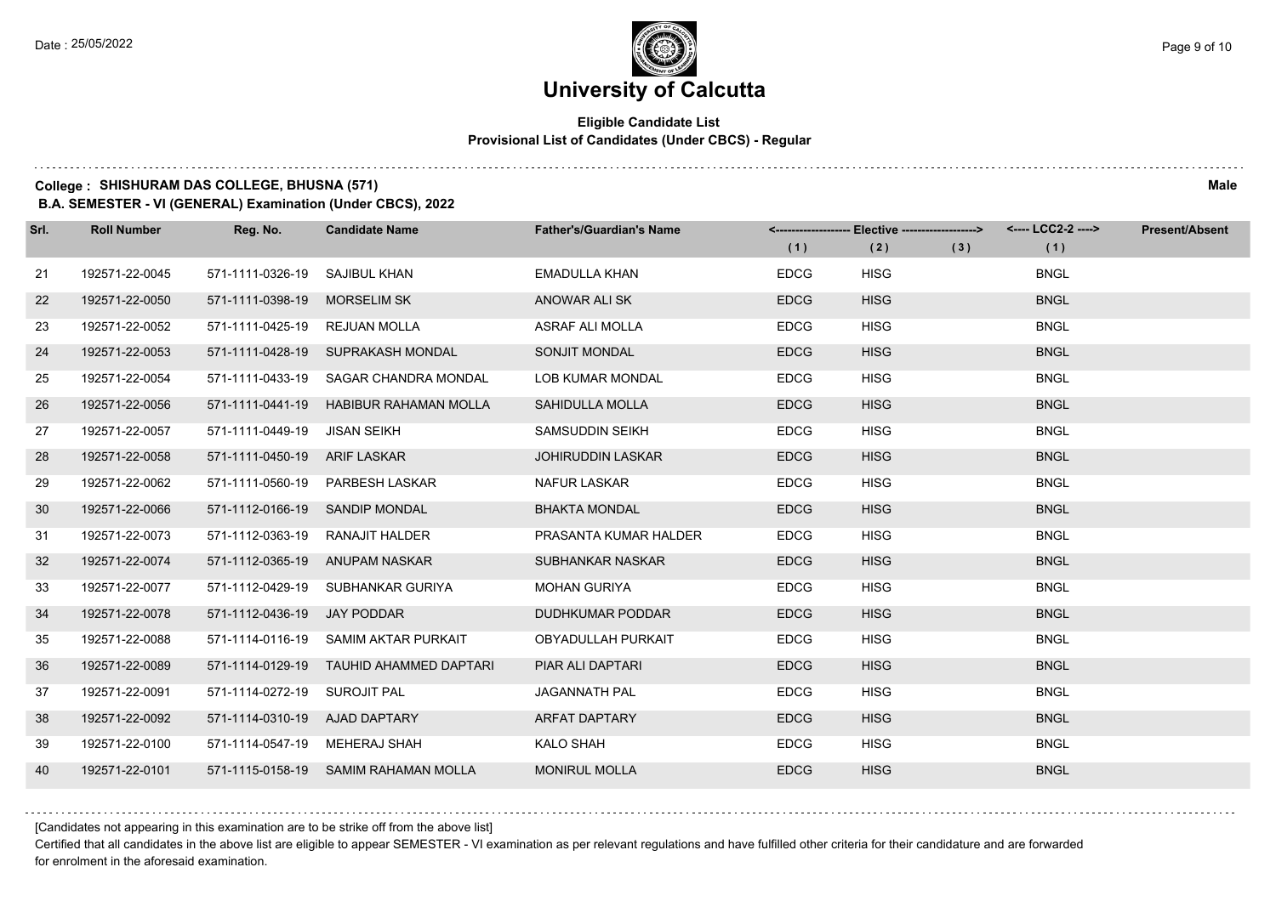#### **Eligible Candidate List Provisional List of Candidates (Under CBCS) - Regular**

**College : SHISHURAM DAS COLLEGE, BHUSNA (571) Male**

**B.A. SEMESTER - VI (GENERAL) Examination (Under CBCS), 2022**

| Srl. | <b>Roll Number</b> | Reg. No.                      | <b>Candidate Name</b>                | <b>Father's/Guardian's Name</b> | (1)         | <------------------- Elective ------------------><br>(2) | (3) | <---- LCC2-2 ----><br>(1) | <b>Present/Absent</b> |
|------|--------------------|-------------------------------|--------------------------------------|---------------------------------|-------------|----------------------------------------------------------|-----|---------------------------|-----------------------|
| 21   | 192571-22-0045     | 571-1111-0326-19              | <b>SAJIBUL KHAN</b>                  | <b>EMADULLA KHAN</b>            | <b>EDCG</b> | <b>HISG</b>                                              |     | <b>BNGL</b>               |                       |
| 22   | 192571-22-0050     | 571-1111-0398-19              | <b>MORSELIM SK</b>                   | ANOWAR ALI SK                   | <b>EDCG</b> | <b>HISG</b>                                              |     | <b>BNGL</b>               |                       |
| 23   | 192571-22-0052     | 571-1111-0425-19 REJUAN MOLLA |                                      | ASRAF ALI MOLLA                 | <b>EDCG</b> | <b>HISG</b>                                              |     | <b>BNGL</b>               |                       |
| 24   | 192571-22-0053     |                               | 571-1111-0428-19 SUPRAKASH MONDAL    | <b>SONJIT MONDAL</b>            | <b>EDCG</b> | <b>HISG</b>                                              |     | <b>BNGL</b>               |                       |
| 25   | 192571-22-0054     | 571-1111-0433-19              | SAGAR CHANDRA MONDAL                 | <b>LOB KUMAR MONDAL</b>         | <b>EDCG</b> | <b>HISG</b>                                              |     | <b>BNGL</b>               |                       |
| 26   | 192571-22-0056     | 571-1111-0441-19              | <b>HABIBUR RAHAMAN MOLLA</b>         | SAHIDULLA MOLLA                 | <b>EDCG</b> | <b>HISG</b>                                              |     | <b>BNGL</b>               |                       |
| 27   | 192571-22-0057     | 571-1111-0449-19              | JISAN SEIKH                          | SAMSUDDIN SEIKH                 | <b>EDCG</b> | <b>HISG</b>                                              |     | <b>BNGL</b>               |                       |
| 28   | 192571-22-0058     | 571-1111-0450-19 ARIF LASKAR  |                                      | <b>JOHIRUDDIN LASKAR</b>        | <b>EDCG</b> | <b>HISG</b>                                              |     | <b>BNGL</b>               |                       |
| 29   | 192571-22-0062     |                               | 571-1111-0560-19 PARBESH LASKAR      | <b>NAFUR LASKAR</b>             | <b>EDCG</b> | <b>HISG</b>                                              |     | <b>BNGL</b>               |                       |
| 30   | 192571-22-0066     |                               | 571-1112-0166-19 SANDIP MONDAL       | <b>BHAKTA MONDAL</b>            | <b>EDCG</b> | <b>HISG</b>                                              |     | <b>BNGL</b>               |                       |
| 31   | 192571-22-0073     |                               | 571-1112-0363-19 RANAJIT HALDER      | PRASANTA KUMAR HALDER           | <b>EDCG</b> | <b>HISG</b>                                              |     | <b>BNGL</b>               |                       |
| 32   | 192571-22-0074     |                               | 571-1112-0365-19 ANUPAM NASKAR       | SUBHANKAR NASKAR                | <b>EDCG</b> | <b>HISG</b>                                              |     | <b>BNGL</b>               |                       |
| 33   | 192571-22-0077     | 571-1112-0429-19              | SUBHANKAR GURIYA                     | <b>MOHAN GURIYA</b>             | <b>EDCG</b> | <b>HISG</b>                                              |     | <b>BNGL</b>               |                       |
| 34   | 192571-22-0078     | 571-1112-0436-19 JAY PODDAR   |                                      | <b>DUDHKUMAR PODDAR</b>         | <b>EDCG</b> | <b>HISG</b>                                              |     | <b>BNGL</b>               |                       |
| 35   | 192571-22-0088     |                               | 571-1114-0116-19 SAMIM AKTAR PURKAIT | <b>OBYADULLAH PURKAIT</b>       | <b>EDCG</b> | <b>HISG</b>                                              |     | <b>BNGL</b>               |                       |
| 36   | 192571-22-0089     | 571-1114-0129-19              | TAUHID AHAMMED DAPTARI               | PIAR ALI DAPTARI                | <b>EDCG</b> | <b>HISG</b>                                              |     | <b>BNGL</b>               |                       |
| 37   | 192571-22-0091     | 571-1114-0272-19 SUROJIT PAL  |                                      | <b>JAGANNATH PAL</b>            | <b>EDCG</b> | <b>HISG</b>                                              |     | <b>BNGL</b>               |                       |
| 38   | 192571-22-0092     | 571-1114-0310-19 AJAD DAPTARY |                                      | <b>ARFAT DAPTARY</b>            | <b>EDCG</b> | <b>HISG</b>                                              |     | <b>BNGL</b>               |                       |
| 39   | 192571-22-0100     | 571-1114-0547-19 MEHERAJ SHAH |                                      | <b>KALO SHAH</b>                | <b>EDCG</b> | <b>HISG</b>                                              |     | <b>BNGL</b>               |                       |
| 40   | 192571-22-0101     |                               | 571-1115-0158-19 SAMIM RAHAMAN MOLLA | <b>MONIRUL MOLLA</b>            | <b>EDCG</b> | <b>HISG</b>                                              |     | <b>BNGL</b>               |                       |

[Candidates not appearing in this examination are to be strike off from the above list]

Certified that all candidates in the above list are eligible to appear SEMESTER - VI examination as per relevant regulations and have fulfilled other criteria for their candidature and are forwarded for enrolment in the aforesaid examination.